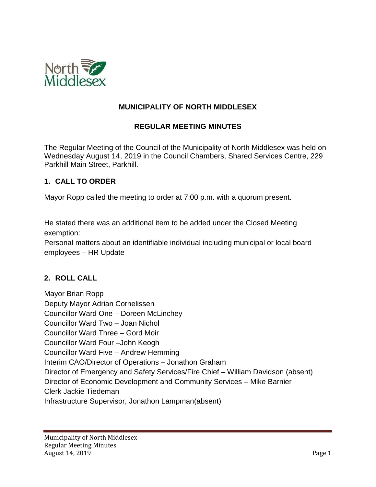

### **MUNICIPALITY OF NORTH MIDDLESEX**

#### **REGULAR MEETING MINUTES**

The Regular Meeting of the Council of the Municipality of North Middlesex was held on Wednesday August 14, 2019 in the Council Chambers, Shared Services Centre, 229 Parkhill Main Street, Parkhill.

#### **1. CALL TO ORDER**

Mayor Ropp called the meeting to order at 7:00 p.m. with a quorum present.

He stated there was an additional item to be added under the Closed Meeting exemption:

Personal matters about an identifiable individual including municipal or local board employees – HR Update

#### **2. ROLL CALL**

Mayor Brian Ropp Deputy Mayor Adrian Cornelissen Councillor Ward One – Doreen McLinchey Councillor Ward Two – Joan Nichol Councillor Ward Three – Gord Moir Councillor Ward Four –John Keogh Councillor Ward Five – Andrew Hemming Interim CAO/Director of Operations – Jonathon Graham Director of Emergency and Safety Services/Fire Chief – William Davidson (absent) Director of Economic Development and Community Services – Mike Barnier Clerk Jackie Tiedeman Infrastructure Supervisor, Jonathon Lampman(absent)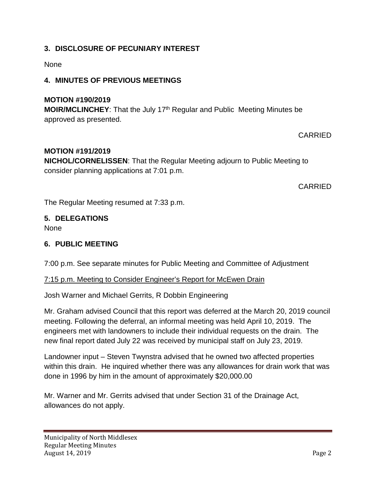### **3. DISCLOSURE OF PECUNIARY INTEREST**

#### None

### **4. MINUTES OF PREVIOUS MEETINGS**

### **MOTION #190/2019**

**MOIR/MCLINCHEY:** That the July 17<sup>th</sup> Regular and Public Meeting Minutes be approved as presented.

#### CARRIED

#### **MOTION #191/2019**

**NICHOL/CORNELISSEN**: That the Regular Meeting adjourn to Public Meeting to consider planning applications at 7:01 p.m.

CARRIED

The Regular Meeting resumed at 7:33 p.m.

# **5. DELEGATIONS**

None

#### **6. PUBLIC MEETING**

7:00 p.m. See separate minutes for Public Meeting and Committee of Adjustment

#### 7:15 p.m. Meeting to Consider Engineer's Report for McEwen Drain

Josh Warner and Michael Gerrits, R Dobbin Engineering

Mr. Graham advised Council that this report was deferred at the March 20, 2019 council meeting. Following the deferral, an informal meeting was held April 10, 2019. The engineers met with landowners to include their individual requests on the drain. The new final report dated July 22 was received by municipal staff on July 23, 2019.

Landowner input – Steven Twynstra advised that he owned two affected properties within this drain. He inquired whether there was any allowances for drain work that was done in 1996 by him in the amount of approximately \$20,000.00

Mr. Warner and Mr. Gerrits advised that under Section 31 of the Drainage Act, allowances do not apply.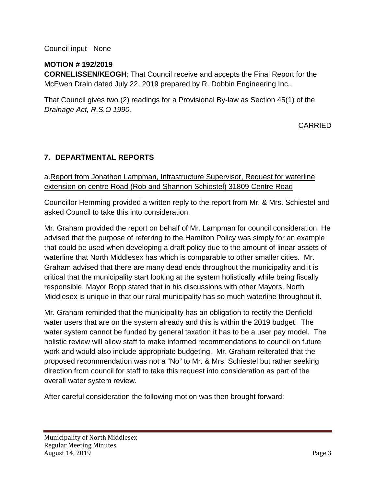### Council input - None

### **MOTION # 192/2019**

**CORNELISSEN/KEOGH**: That Council receive and accepts the Final Report for the McEwen Drain dated July 22, 2019 prepared by R. Dobbin Engineering Inc.,

That Council gives two (2) readings for a Provisional By-law as Section 45(1) of the *Drainage Act, R.S.O 1990.*

### CARRIED

### **7. DEPARTMENTAL REPORTS**

### a.Report from Jonathon Lampman, Infrastructure Supervisor, Request for waterline extension on centre Road (Rob and Shannon Schiestel) 31809 Centre Road

Councillor Hemming provided a written reply to the report from Mr. & Mrs. Schiestel and asked Council to take this into consideration.

Mr. Graham provided the report on behalf of Mr. Lampman for council consideration. He advised that the purpose of referring to the Hamilton Policy was simply for an example that could be used when developing a draft policy due to the amount of linear assets of waterline that North Middlesex has which is comparable to other smaller cities. Mr. Graham advised that there are many dead ends throughout the municipality and it is critical that the municipality start looking at the system holistically while being fiscally responsible. Mayor Ropp stated that in his discussions with other Mayors, North Middlesex is unique in that our rural municipality has so much waterline throughout it.

Mr. Graham reminded that the municipality has an obligation to rectify the Denfield water users that are on the system already and this is within the 2019 budget. The water system cannot be funded by general taxation it has to be a user pay model. The holistic review will allow staff to make informed recommendations to council on future work and would also include appropriate budgeting. Mr. Graham reiterated that the proposed recommendation was not a "No" to Mr. & Mrs. Schiestel but rather seeking direction from council for staff to take this request into consideration as part of the overall water system review.

After careful consideration the following motion was then brought forward: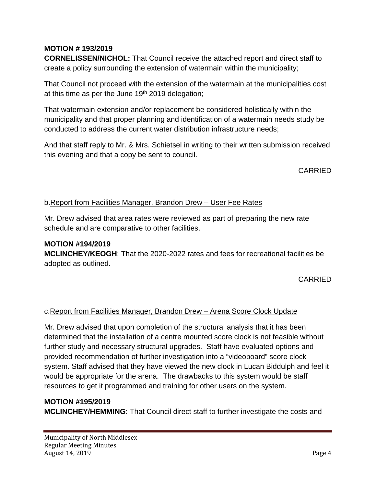# **MOTION # 193/2019**

**CORNELISSEN/NICHOL:** That Council receive the attached report and direct staff to create a policy surrounding the extension of watermain within the municipality;

That Council not proceed with the extension of the watermain at the municipalities cost at this time as per the June  $19<sup>th</sup>$  2019 delegation;

That watermain extension and/or replacement be considered holistically within the municipality and that proper planning and identification of a watermain needs study be conducted to address the current water distribution infrastructure needs;

And that staff reply to Mr. & Mrs. Schietsel in writing to their written submission received this evening and that a copy be sent to council.

CARRIED

### b.Report from Facilities Manager, Brandon Drew – User Fee Rates

Mr. Drew advised that area rates were reviewed as part of preparing the new rate schedule and are comparative to other facilities.

### **MOTION #194/2019**

**MCLINCHEY/KEOGH**: That the 2020-2022 rates and fees for recreational facilities be adopted as outlined.

CARRIED

#### c.Report from Facilities Manager, Brandon Drew – Arena Score Clock Update

Mr. Drew advised that upon completion of the structural analysis that it has been determined that the installation of a centre mounted score clock is not feasible without further study and necessary structural upgrades. Staff have evaluated options and provided recommendation of further investigation into a "videoboard" score clock system. Staff advised that they have viewed the new clock in Lucan Biddulph and feel it would be appropriate for the arena. The drawbacks to this system would be staff resources to get it programmed and training for other users on the system.

#### **MOTION #195/2019**

**MCLINCHEY/HEMMING**: That Council direct staff to further investigate the costs and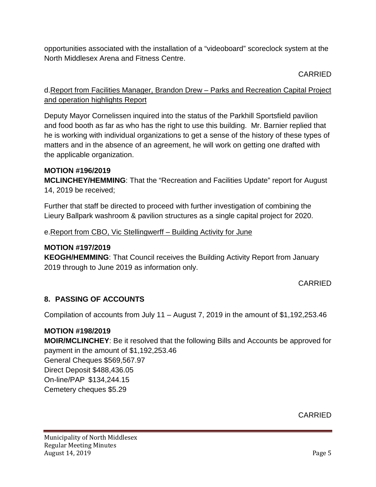opportunities associated with the installation of a "videoboard" scoreclock system at the North Middlesex Arena and Fitness Centre.

# CARRIED

# d.Report from Facilities Manager, Brandon Drew – Parks and Recreation Capital Project and operation highlights Report

Deputy Mayor Cornelissen inquired into the status of the Parkhill Sportsfield pavilion and food booth as far as who has the right to use this building. Mr. Barnier replied that he is working with individual organizations to get a sense of the history of these types of matters and in the absence of an agreement, he will work on getting one drafted with the applicable organization.

### **MOTION #196/2019**

**MCLINCHEY/HEMMING**: That the "Recreation and Facilities Update" report for August 14, 2019 be received;

Further that staff be directed to proceed with further investigation of combining the Lieury Ballpark washroom & pavilion structures as a single capital project for 2020.

e.Report from CBO, Vic Stellingwerff – Building Activity for June

### **MOTION #197/2019**

**KEOGH/HEMMING**: That Council receives the Building Activity Report from January 2019 through to June 2019 as information only.

### CARRIED

### **8. PASSING OF ACCOUNTS**

Compilation of accounts from July 11 – August 7, 2019 in the amount of \$1,192,253.46

### **MOTION #198/2019**

**MOIR/MCLINCHEY**: Be it resolved that the following Bills and Accounts be approved for payment in the amount of \$1,192,253.46

General Cheques \$569,567.97 Direct Deposit \$488,436.05 On-line/PAP \$134,244.15 Cemetery cheques \$5.29

CARRIED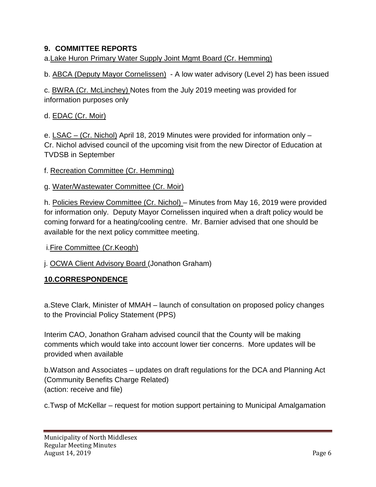### **9. COMMITTEE REPORTS**

a.Lake Huron Primary Water Supply Joint Mgmt Board (Cr. Hemming)

b. ABCA (Deputy Mayor Cornelissen) - A low water advisory (Level 2) has been issued

c. BWRA (Cr. McLinchey) Notes from the July 2019 meeting was provided for information purposes only

# d. EDAC (Cr. Moir)

e. LSAC – (Cr. Nichol) April 18, 2019 Minutes were provided for information only – Cr. Nichol advised council of the upcoming visit from the new Director of Education at TVDSB in September

f. Recreation Committee (Cr. Hemming)

### g. Water/Wastewater Committee (Cr. Moir)

h. Policies Review Committee (Cr. Nichol) – Minutes from May 16, 2019 were provided for information only. Deputy Mayor Cornelissen inquired when a draft policy would be coming forward for a heating/cooling centre. Mr. Barnier advised that one should be available for the next policy committee meeting.

i.Fire Committee (Cr.Keogh)

j. OCWA Client Advisory Board (Jonathon Graham)

### **10.CORRESPONDENCE**

a.Steve Clark, Minister of MMAH – launch of consultation on proposed policy changes to the Provincial Policy Statement (PPS)

Interim CAO, Jonathon Graham advised council that the County will be making comments which would take into account lower tier concerns. More updates will be provided when available

b.Watson and Associates – updates on draft regulations for the DCA and Planning Act (Community Benefits Charge Related) (action: receive and file)

c.Twsp of McKellar – request for motion support pertaining to Municipal Amalgamation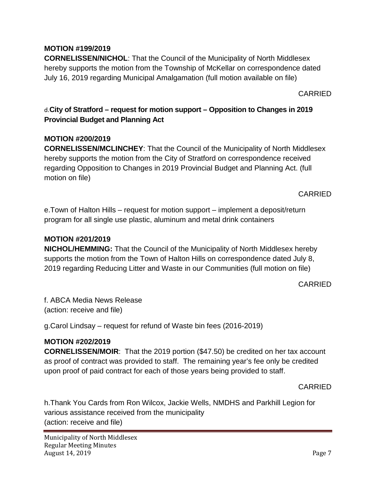### **MOTION #199/2019**

**CORNELISSEN/NICHOL**: That the Council of the Municipality of North Middlesex hereby supports the motion from the Township of McKellar on correspondence dated July 16, 2019 regarding Municipal Amalgamation (full motion available on file)

CARRIED

d.**City of Stratford – request for motion support – Opposition to Changes in 2019 Provincial Budget and Planning Act**

#### **MOTION #200/2019**

**CORNELISSEN/MCLINCHEY**: That the Council of the Municipality of North Middlesex hereby supports the motion from the City of Stratford on correspondence received regarding Opposition to Changes in 2019 Provincial Budget and Planning Act. (full motion on file)

CARRIED

e.Town of Halton Hills – request for motion support – implement a deposit/return program for all single use plastic, aluminum and metal drink containers

#### **MOTION #201/2019**

**NICHOL/HEMMING:** That the Council of the Municipality of North Middlesex hereby supports the motion from the Town of Halton Hills on correspondence dated July 8, 2019 regarding Reducing Litter and Waste in our Communities (full motion on file)

#### CARRIED

f. ABCA Media News Release (action: receive and file)

g.Carol Lindsay – request for refund of Waste bin fees (2016-2019)

### **MOTION #202/2019**

**CORNELISSEN/MOIR**: That the 2019 portion (\$47.50) be credited on her tax account as proof of contract was provided to staff. The remaining year's fee only be credited upon proof of paid contract for each of those years being provided to staff.

CARRIED

h.Thank You Cards from Ron Wilcox, Jackie Wells, NMDHS and Parkhill Legion for various assistance received from the municipality (action: receive and file)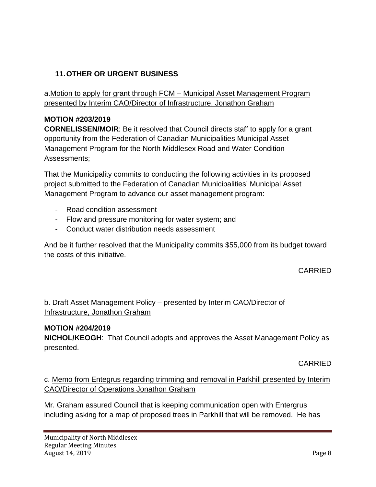# **11.OTHER OR URGENT BUSINESS**

a.Motion to apply for grant through FCM – Municipal Asset Management Program presented by Interim CAO/Director of Infrastructure, Jonathon Graham

# **MOTION #203/2019**

**CORNELISSEN/MOIR**: Be it resolved that Council directs staff to apply for a grant opportunity from the Federation of Canadian Municipalities Municipal Asset Management Program for the North Middlesex Road and Water Condition Assessments;

That the Municipality commits to conducting the following activities in its proposed project submitted to the Federation of Canadian Municipalities' Municipal Asset Management Program to advance our asset management program:

- Road condition assessment
- Flow and pressure monitoring for water system; and
- Conduct water distribution needs assessment

And be it further resolved that the Municipality commits \$55,000 from its budget toward the costs of this initiative.

CARRIED

# b. Draft Asset Management Policy – presented by Interim CAO/Director of Infrastructure, Jonathon Graham

### **MOTION #204/2019**

**NICHOL/KEOGH**: That Council adopts and approves the Asset Management Policy as presented.

CARRIED

c. Memo from Entegrus regarding trimming and removal in Parkhill presented by Interim CAO/Director of Operations Jonathon Graham

Mr. Graham assured Council that is keeping communication open with Entergrus including asking for a map of proposed trees in Parkhill that will be removed. He has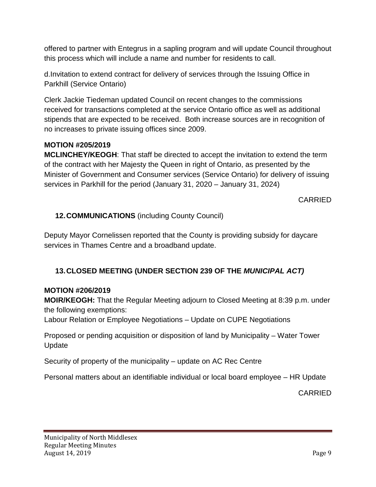offered to partner with Entegrus in a sapling program and will update Council throughout this process which will include a name and number for residents to call.

d.Invitation to extend contract for delivery of services through the Issuing Office in Parkhill (Service Ontario)

Clerk Jackie Tiedeman updated Council on recent changes to the commissions received for transactions completed at the service Ontario office as well as additional stipends that are expected to be received. Both increase sources are in recognition of no increases to private issuing offices since 2009.

### **MOTION #205/2019**

**MCLINCHEY/KEOGH**: That staff be directed to accept the invitation to extend the term of the contract with her Majesty the Queen in right of Ontario, as presented by the Minister of Government and Consumer services (Service Ontario) for delivery of issuing services in Parkhill for the period (January 31, 2020 – January 31, 2024)

CARRIED

### **12.COMMUNICATIONS** (including County Council)

Deputy Mayor Cornelissen reported that the County is providing subsidy for daycare services in Thames Centre and a broadband update.

### **13.CLOSED MEETING (UNDER SECTION 239 OF THE** *MUNICIPAL ACT)*

#### **MOTION #206/2019**

**MOIR/KEOGH:** That the Regular Meeting adjourn to Closed Meeting at 8:39 p.m. under the following exemptions:

Labour Relation or Employee Negotiations – Update on CUPE Negotiations

Proposed or pending acquisition or disposition of land by Municipality – Water Tower Update

Security of property of the municipality – update on AC Rec Centre

Personal matters about an identifiable individual or local board employee – HR Update

CARRIED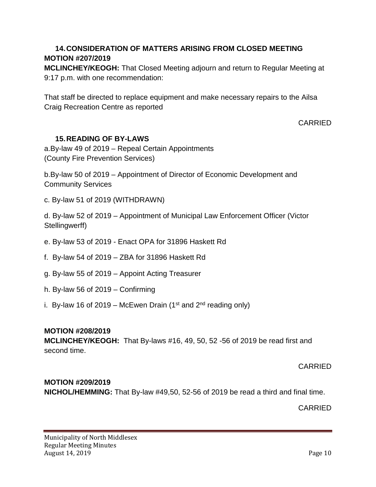# **14.CONSIDERATION OF MATTERS ARISING FROM CLOSED MEETING MOTION #207/2019**

**MCLINCHEY/KEOGH:** That Closed Meeting adjourn and return to Regular Meeting at 9:17 p.m. with one recommendation:

That staff be directed to replace equipment and make necessary repairs to the Ailsa Craig Recreation Centre as reported

CARRIED

### **15.READING OF BY-LAWS**

a.By-law 49 of 2019 – Repeal Certain Appointments (County Fire Prevention Services)

b.By-law 50 of 2019 – Appointment of Director of Economic Development and Community Services

c. By-law 51 of 2019 (WITHDRAWN)

d. By-law 52 of 2019 – Appointment of Municipal Law Enforcement Officer (Victor Stellingwerff)

- e. By-law 53 of 2019 Enact OPA for 31896 Haskett Rd
- f. By-law 54 of 2019 ZBA for 31896 Haskett Rd
- g. By-law 55 of 2019 Appoint Acting Treasurer
- h. By-law 56 of 2019 Confirming
- i. By-law 16 of 2019 McEwen Drain (1<sup>st</sup> and  $2<sup>nd</sup>$  reading only)

#### **MOTION #208/2019**

**MCLINCHEY/KEOGH:** That By-laws #16, 49, 50, 52 -56 of 2019 be read first and second time.

CARRIED

#### **MOTION #209/2019**

**NICHOL/HEMMING:** That By-law #49,50, 52-56 of 2019 be read a third and final time.

CARRIED